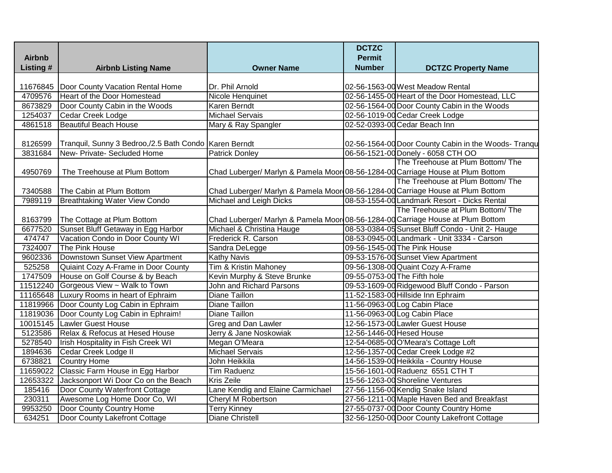|               |                                                         |                                                                                 | <b>DCTZC</b>                 |                                                      |
|---------------|---------------------------------------------------------|---------------------------------------------------------------------------------|------------------------------|------------------------------------------------------|
| <b>Airbnb</b> |                                                         |                                                                                 | <b>Permit</b>                |                                                      |
| Listing #     | <b>Airbnb Listing Name</b>                              | <b>Owner Name</b>                                                               | <b>Number</b>                | <b>DCTZC Property Name</b>                           |
| 11676845      | Door County Vacation Rental Home                        | Dr. Phil Arnold                                                                 |                              | 02-56-1563-00 West Meadow Rental                     |
| 4709576       | Heart of the Door Homestead                             | Nicole Henquinet                                                                |                              | 02-56-1455-00 Heart of the Door Homestead, LLC       |
| 8673829       | Door County Cabin in the Woods                          | Karen Berndt                                                                    |                              | 02-56-1564-00 Door County Cabin in the Woods         |
| 1254037       | <b>Cedar Creek Lodge</b>                                | <b>Michael Servais</b>                                                          |                              | 02-56-1019-00 Cedar Creek Lodge                      |
| 4861518       | <b>Beautiful Beach House</b>                            | Mary & Ray Spangler                                                             |                              | 02-52-0393-00 Cedar Beach Inn                        |
| 8126599       | Tranquil, Sunny 3 Bedroo,/2.5 Bath Condo   Karen Berndt |                                                                                 |                              | 02-56-1564-00 Door County Cabin in the Woods- Tranqu |
| 3831684       | New- Private- Secluded Home                             | <b>Patrick Donley</b>                                                           |                              | 06-56-1521-00 Donely - 6058 CTH OO                   |
|               |                                                         |                                                                                 |                              | The Treehouse at Plum Bottom/The                     |
| 4950769       | The Treehouse at Plum Bottom                            | Chad Luberger/ Marlyn & Pamela Moor 08-56-1284-00 Carriage House at Plum Bottom |                              |                                                      |
|               |                                                         |                                                                                 |                              | The Treehouse at Plum Bottom/The                     |
| 7340588       | The Cabin at Plum Bottom                                | Chad Luberger/ Marlyn & Pamela Moor 08-56-1284-00 Carriage House at Plum Bottom |                              |                                                      |
| 7989119       | <b>Breathtaking Water View Condo</b>                    | Michael and Leigh Dicks                                                         |                              | 08-53-1554-00 Landmark Resort - Dicks Rental         |
|               |                                                         |                                                                                 |                              | The Treehouse at Plum Bottom/ The                    |
| 8163799       | The Cottage at Plum Bottom                              | Chad Luberger/ Marlyn & Pamela Moor 08-56-1284-00 Carriage House at Plum Bottom |                              |                                                      |
| 6677520       | Sunset Bluff Getaway in Egg Harbor                      | Michael & Christina Hauge                                                       |                              | 08-53-0384-05 Sunset Bluff Condo - Unit 2- Hauge     |
| 474747        | Vacation Condo in Door County WI                        | Frederick R. Carson                                                             |                              | 08-53-0945-00 Landmark - Unit 3334 - Carson          |
| 7324007       | The Pink House                                          | Sandra DeLegge                                                                  |                              | 09-56-1545-00 The Pink House                         |
| 9602336       | Downstown Sunset View Apartment                         | <b>Kathy Navis</b>                                                              |                              | 09-53-1576-00 Sunset View Apartment                  |
| 525258        | Quiaint Cozy A-Frame in Door County                     | Tim & Kristin Mahoney                                                           |                              | 09-56-1308-00 Quaint Cozy A-Frame                    |
| 1747509       | House on Golf Course & by Beach                         | Kevin Murphy & Steve Brunke                                                     | 09-55-0753-00 The Fifth hole |                                                      |
|               | 11512240 Gorgeous View ~ Walk to Town                   | <b>John and Richard Parsons</b>                                                 |                              | 09-53-1609-00 Ridgewood Bluff Condo - Parson         |
|               | 11165648 Luxury Rooms in heart of Ephraim               | Diane Taillon                                                                   |                              | 11-52-1583-00 Hillside Inn Ephraim                   |
|               | 11819966 Door County Log Cabin in Ephraim               | <b>Diane Taillon</b>                                                            |                              | 11-56-0963-00 Log Cabin Place                        |
|               | 11819036 Door County Log Cabin in Ephraim!              | <b>Diane Taillon</b>                                                            |                              | 11-56-0963-00 Log Cabin Place                        |
|               | 10015145 Lawler Guest House                             | <b>Greg and Dan Lawler</b>                                                      |                              | 12-56-1573-00 Lawler Guest House                     |
| 5123586       | Relax & Refocus at Hesed House                          | Jerry & Jane Noskowiak                                                          | 12-56-1446-00 Hesed House    |                                                      |
| 5278540       | Irish Hospitality in Fish Creek WI                      | Megan O'Meara                                                                   |                              | 12-54-0685-00 O'Meara's Cottage Loft                 |
| 1894636       | Cedar Creek Lodge II                                    | <b>Michael Servais</b>                                                          |                              | 12-56-1357-00 Cedar Creek Lodge #2                   |
| 6738821       | <b>Country Home</b>                                     | John Heikkila                                                                   |                              | 14-56-1539-00 Heikkila - Country House               |
| 11659022      | Classic Farm House in Egg Harbor                        | <b>Tim Raduenz</b>                                                              |                              | 15-56-1601-00 Raduenz 6551 CTH T                     |
| 12653322      | Jacksonport Wi Door Co on the Beach                     | <b>Kris Zeile</b>                                                               |                              | 15-56-1263-00 Shoreline Ventures                     |
| 185416        | Door County Waterfront Cottage                          | Lane Kendig and Elaine Carmichael                                               |                              | 27-56-1156-00 Kendig Snake Island                    |
| 230311        | Awesome Log Home Door Co, WI                            | Cheryl M Robertson                                                              |                              | 27-56-1211-00 Maple Haven Bed and Breakfast          |
| 9953250       | Door County Country Home                                | <b>Terry Kinney</b>                                                             |                              | 27-55-0737-00 Door County Country Home               |
| 634251        | Door County Lakefront Cottage                           | <b>Diane Christell</b>                                                          |                              | 32-56-1250-00 Door County Lakefront Cottage          |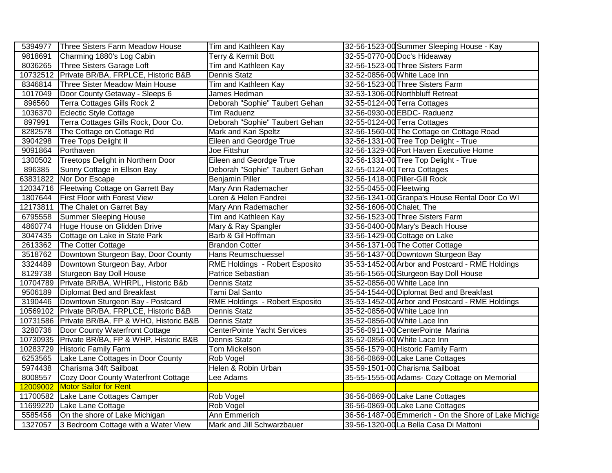| 5394977 | Three Sisters Farm Meadow House                | Tim and Kathleen Kay               | 32-56-1523-00 Summer Sleeping House - Kay             |
|---------|------------------------------------------------|------------------------------------|-------------------------------------------------------|
| 9818691 | Charming 1880's Log Cabin                      | Terry & Kermit Bott                | 32-55-0770-00 Doc's Hideaway                          |
|         | 8036265 Three Sisters Garage Loft              | Tim and Kathleen Kay               | 32-56-1523-00 Three Sisters Farm                      |
|         | 10732512 Private BR/BA, FRPLCE, Historic B&B   | Dennis Statz                       | 32-52-0856-00 White Lace Inn                          |
| 8346814 | Three Sister Meadow Main House                 | Tim and Kathleen Kay               | 32-56-1523-00 Three Sisters Farm                      |
| 1017049 | Door County Getaway - Sleeps 6                 | James Hedman                       | 32-53-1306-00 Northbluff Retreat                      |
| 896560  | Terra Cottages Gills Rock 2                    | Deborah "Sophie" Taubert Gehan     | 32-55-0124-00 Terra Cottages                          |
| 1036370 | Eclectic Style Cottage                         | <b>Tim Raduenz</b>                 | 32-56-0930-00 EBDC- Raduenz                           |
| 897991  | Terra Cottages Gills Rock, Door Co.            | Deborah "Sophie" Taubert Gehan     | 32-55-0124-00 Terra Cottages                          |
| 8282578 | The Cottage on Cottage Rd                      | Mark and Kari Speltz               | 32-56-1560-00 The Cottage on Cottage Road             |
| 3904298 | Tree Tops Delight II                           | Eileen and Geordge True            | 32-56-1331-00 Tree Top Delight - True                 |
| 9091864 | Porthaven                                      | Joe Fittshur                       | 32-56-1329-00 Port Haven Executive Home               |
| 1300502 | Treetops Delight in Northern Door              | <b>Eileen and Geordge True</b>     | 32-56-1331-00 Tree Top Delight - True                 |
| 896385  | Sunny Cottage in Ellson Bay                    | Deborah "Sophie" Taubert Gehan     | 32-55-0124-00 Terra Cottages                          |
|         | 63831822 Nor Dor Escape                        | <b>Benjamin Piller</b>             | 32-56-1418-00 Piller-Gill Rock                        |
|         | 12034716 Fleetwing Cottage on Garrett Bay      | Mary Ann Rademacher                | 32-55-0455-00 Fleetwing                               |
| 1807644 | <b>First Floor with Forest View</b>            | Loren & Helen Fandrei              | 32-56-1341-00 Granpa's House Rental Door Co WI        |
|         | 12173811 The Chalet on Garret Bay              | Mary Ann Rademacher                | 32-56-1606-00 Chalet, The                             |
| 6795558 | Summer Sleeping House                          | Tim and Kathleen Kay               | 32-56-1523-00 Three Sisters Farm                      |
|         | 4860774 Huge House on Glidden Drive            | Mary & Ray Spangler                | 33-56-0400-00 Mary's Beach House                      |
|         | 3047435 Cottage on Lake in State Park          | Barb & Gil Hoffman                 | 33-56-1429-00 Cottage on Lake                         |
|         | 2613362 The Cotter Cottage                     | <b>Brandon Cotter</b>              | 34-56-1371-00 The Cotter Cottage                      |
|         | 3518762 Downtown Sturgeon Bay, Door County     | Hans Reumschuessel                 | 35-56-1437-00 Downtown Sturgeon Bay                   |
|         | 3324489 Downtown Sturgeon Bay, Arbor           | RME Holdings - Robert Esposito     | 35-53-1452-00 Arbor and Postcard - RME Holdings       |
|         | 8129738 Sturgeon Bay Doll House                | Patrice Sebastian                  | 35-56-1565-00 Sturgeon Bay Doll House                 |
|         | 10704789 Private BR/BA, WHRPL, Historic B&b    | <b>Dennis Statz</b>                | 35-52-0856-00 White Lace Inn                          |
|         | 9506189   Diplomat Bed and Breakfast           | Tami Dal Santo                     | 35-54-1544-00 Diplomat Bed and Breakfast              |
|         | 3190446   Downtown Sturgeon Bay - Postcard     | RME Holdings - Robert Esposito     | 35-53-1452-00 Arbor and Postcard - RME Holdings       |
|         | 10569102   Private BR/BA, FRPLCE, Historic B&B | <b>Dennis Statz</b>                | 35-52-0856-00 White Lace Inn                          |
|         | 10731586 Private BR/BA, FP & WHO, Historic B&B | <b>Dennis Statz</b>                | 35-52-0856-00 White Lace Inn                          |
|         | 3280736   Door County Waterfront Cottage       | <b>CenterPointe Yacht Services</b> | 35-56-0911-00 CenterPointe Marina                     |
|         | 10730935 Private BR/BA, FP & WHP, Historic B&B | <b>Dennis Statz</b>                | 35-52-0856-00 White Lace Inn                          |
|         | 10283729 Historic Family Farm                  | Tom Mickelson                      | 35-56-1579-00 Historic Family Farm                    |
|         | 6253565   Lake Lane Cottages in Door County    | Rob Vogel                          | 36-56-0869-00 Lake Lane Cottages                      |
|         | 5974438 Charisma 34ft Sailboat                 | Helen & Robin Urban                | 35-59-1501-00 Charisma Sailboat                       |
|         | 8008557 Cozy Door County Waterfront Cottage    | Lee Adams                          | 35-55-1555-00 Adams- Cozy Cottage on Memorial         |
|         | 12009002 Motor Sailor for Rent                 |                                    |                                                       |
|         | 11700582 Lake Lane Cottages Camper             | Rob Vogel                          | 36-56-0869-00 Lake Lane Cottages                      |
|         | 11699220 Lake Lane Cottage                     | Rob Vogel                          | 36-56-0869-00 Lake Lane Cottages                      |
|         | 5585456 On the shore of Lake Michigan          | <b>Ann Emmerich</b>                | 36-56-1487-00 Emmerich - On the Shore of Lake Michiga |
|         | 1327057 3 Bedroom Cottage with a Water View    | Mark and Jill Schwarzbauer         | 39-56-1320-00 La Bella Casa Di Mattoni                |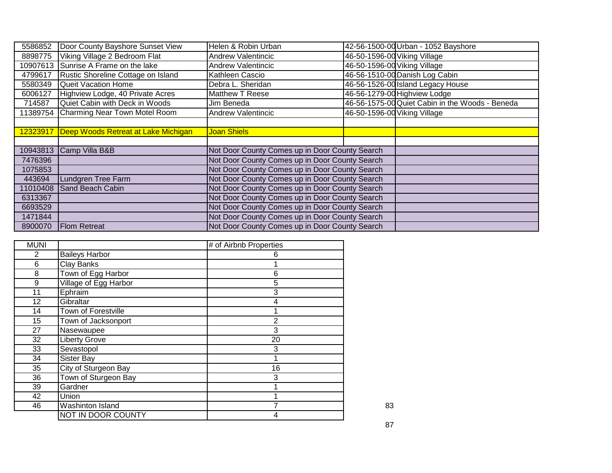| 5586852  | Door County Bayshore Sunset View    | Helen & Robin Urban                            |                              | 42-56-1500-00 Urban - 1052 Bayshore             |
|----------|-------------------------------------|------------------------------------------------|------------------------------|-------------------------------------------------|
| 8898775  | Viking Village 2 Bedroom Flat       | <b>Andrew Valentincic</b>                      | 46-50-1596-00 Viking Village |                                                 |
| 10907613 | Sunrise A Frame on the lake         | <b>Andrew Valentincic</b>                      | 46-50-1596-00 Viking Village |                                                 |
| 4799617  | Rustic Shoreline Cottage on Island  | Kathleen Cascio                                |                              | 46-56-1510-00 Danish Log Cabin                  |
| 5580349  | <b>Queit Vacation Home</b>          | Debra L. Sheridan                              |                              | 46-56-1526-00 Island Legacy House               |
| 6006127  | Highview Lodge, 40 Private Acres    | Matthew T Reese                                |                              | 46-56-1279-00 Highview Lodge                    |
| 714587   | Quiet Cabin with Deck in Woods      | Jim Beneda                                     |                              | 46-56-1575-00 Quiet Cabin in the Woods - Beneda |
| 11389754 | Charming Near Town Motel Room       | <b>Andrew Valentincic</b>                      | 46-50-1596-00 Viking Village |                                                 |
|          |                                     |                                                |                              |                                                 |
| 12323917 | Deep Woods Retreat at Lake Michigan | <b>Joan Shiels</b>                             |                              |                                                 |
|          |                                     |                                                |                              |                                                 |
|          | 10943813 Camp Villa B&B             | Not Door County Comes up in Door County Search |                              |                                                 |
| 7476396  |                                     | Not Door County Comes up in Door County Search |                              |                                                 |
| 1075853  |                                     | Not Door County Comes up in Door County Search |                              |                                                 |
| 443694   | Lundgren Tree Farm                  | Not Door County Comes up in Door County Search |                              |                                                 |
| 11010408 | Sand Beach Cabin                    | Not Door County Comes up in Door County Search |                              |                                                 |
| 6313367  |                                     | Not Door County Comes up in Door County Search |                              |                                                 |
| 6693529  |                                     | Not Door County Comes up in Door County Search |                              |                                                 |
| 1471844  |                                     | Not Door County Comes up in Door County Search |                              |                                                 |
| 8900070  | <b>Flom Retreat</b>                 | Not Door County Comes up in Door County Search |                              |                                                 |

| <b>MUNI</b> |                            | # of Airbnb Properties |    |
|-------------|----------------------------|------------------------|----|
| 2           | <b>Baileys Harbor</b>      | 6                      |    |
| $\,6$       | Clay Banks                 |                        |    |
| 8           | Town of Egg Harbor         | 6                      |    |
| 9           | Village of Egg Harbor      | 5                      |    |
| 11          | Ephraim                    | 3                      |    |
| 12          | Gibraltar                  | 4                      |    |
| 14          | <b>Town of Forestville</b> |                        |    |
| 15          | Town of Jacksonport        | $\overline{2}$         |    |
| 27          | Nasewaupee                 | 3                      |    |
| 32          | <b>Liberty Grove</b>       | 20                     |    |
| 33          | Sevastopol                 | 3                      |    |
| 34          | Sister Bay                 |                        |    |
| 35          | City of Sturgeon Bay       | 16                     |    |
| 36          | Town of Sturgeon Bay       | 3                      |    |
| 39          | Gardner                    |                        |    |
| 42          | Union                      |                        |    |
| 46          | Washinton Island           |                        | 83 |
|             | <b>NOT IN DOOR COUNTY</b>  | 4                      |    |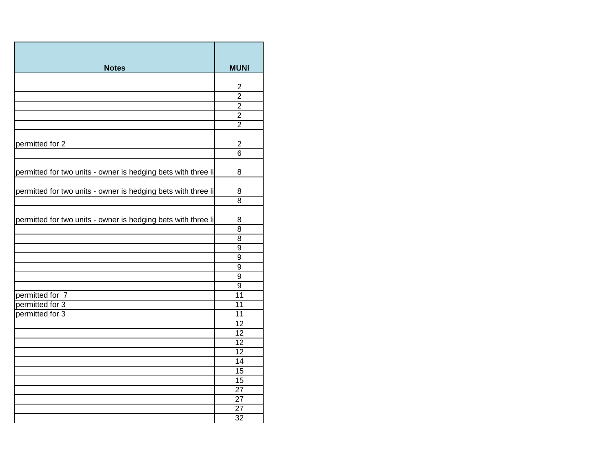| <b>Notes</b>                                                   | <b>MUNI</b>                       |
|----------------------------------------------------------------|-----------------------------------|
|                                                                |                                   |
|                                                                | 2                                 |
|                                                                | $\overline{2}$                    |
|                                                                | $\overline{2}$                    |
|                                                                | $\overline{2}$                    |
|                                                                | $\overline{2}$                    |
| permitted for 2                                                | $\overline{2}$                    |
|                                                                | $\overline{6}$                    |
| permitted for two units - owner is hedging bets with three li- | 8                                 |
| permitted for two units - owner is hedging bets with three lis | 8                                 |
|                                                                | $\overline{8}$                    |
| permitted for two units - owner is hedging bets with three li- | 8<br>$\overline{8}$               |
|                                                                | 8                                 |
|                                                                | 9                                 |
|                                                                | 9                                 |
|                                                                | 9                                 |
|                                                                | $\overline{9}$                    |
|                                                                | $\overline{9}$<br>$\overline{11}$ |
| permitted for 7<br>permitted for 3                             | 11                                |
| permitted for 3                                                | 11                                |
|                                                                | 12                                |
|                                                                | 12                                |
|                                                                | 12                                |
|                                                                | 12                                |
|                                                                | $\overline{14}$                   |
|                                                                | 15                                |
|                                                                | 15                                |
|                                                                | $\overline{27}$                   |
|                                                                | 27                                |
|                                                                | $\overline{27}$                   |
|                                                                | $\overline{32}$                   |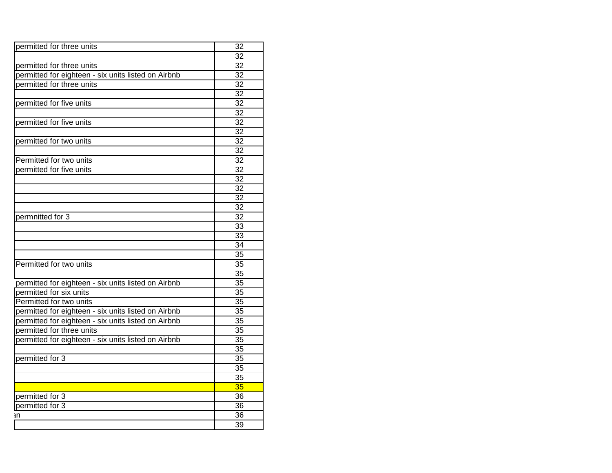| permitted for three units                           | 32              |
|-----------------------------------------------------|-----------------|
|                                                     | $\overline{32}$ |
| permitted for three units                           | $\overline{32}$ |
| permitted for eighteen - six units listed on Airbnb | 32              |
| permitted for three units                           | 32              |
|                                                     | $\overline{32}$ |
| permitted for five units                            | $\overline{32}$ |
|                                                     | 32              |
| permitted for five units                            | 32              |
|                                                     | 32              |
| permitted for two units                             | 32              |
|                                                     | 32              |
| Permitted for two units                             | $\overline{32}$ |
| permitted for five units                            | 32              |
|                                                     | 32              |
|                                                     | 32              |
|                                                     | $\overline{32}$ |
|                                                     | $\overline{32}$ |
| permnitted for 3                                    | 32              |
|                                                     | 33              |
|                                                     | 33              |
|                                                     | 34              |
|                                                     | $\overline{35}$ |
| Permitted for two units                             | $\overline{35}$ |
|                                                     | $\overline{35}$ |
| permitted for eighteen - six units listed on Airbnb | $\overline{35}$ |
| permitted for six units                             | 35              |
| Permitted for two units                             | 35              |
| permitted for eighteen - six units listed on Airbnb | $\overline{35}$ |
| permitted for eighteen - six units listed on Airbnb | $\overline{35}$ |
| permitted for three units                           | 35              |
| permitted for eighteen - six units listed on Airbnb | 35              |
|                                                     | $\overline{35}$ |
| permitted for 3                                     | $\overline{35}$ |
|                                                     | $\overline{35}$ |
|                                                     | $\overline{35}$ |
|                                                     | 35              |
| permitted for 3                                     | 36              |
| permitted for 3                                     | 36              |
| 1n                                                  | $\overline{36}$ |
|                                                     | 39              |